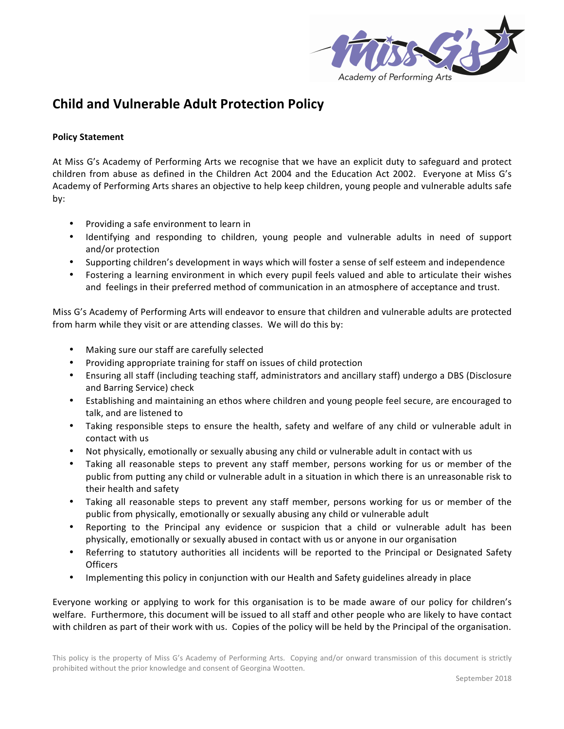

## **Child and Vulnerable Adult Protection Policy**

## **Policy Statement**

At Miss G's Academy of Performing Arts we recognise that we have an explicit duty to safeguard and protect children from abuse as defined in the Children Act 2004 and the Education Act 2002. Everyone at Miss G's Academy of Performing Arts shares an objective to help keep children, young people and vulnerable adults safe by:

- Providing a safe environment to learn in
- Identifying and responding to children, young people and vulnerable adults in need of support and/or protection
- Supporting children's development in ways which will foster a sense of self esteem and independence
- Fostering a learning environment in which every pupil feels valued and able to articulate their wishes and feelings in their preferred method of communication in an atmosphere of acceptance and trust.

Miss G's Academy of Performing Arts will endeavor to ensure that children and vulnerable adults are protected from harm while they visit or are attending classes. We will do this by:

- Making sure our staff are carefully selected
- Providing appropriate training for staff on issues of child protection
- Ensuring all staff (including teaching staff, administrators and ancillary staff) undergo a DBS (Disclosure and Barring Service) check
- Establishing and maintaining an ethos where children and young people feel secure, are encouraged to talk, and are listened to
- Taking responsible steps to ensure the health, safety and welfare of any child or vulnerable adult in contact with us
- Not physically, emotionally or sexually abusing any child or vulnerable adult in contact with us
- Taking all reasonable steps to prevent any staff member, persons working for us or member of the public from putting any child or vulnerable adult in a situation in which there is an unreasonable risk to their health and safety
- Taking all reasonable steps to prevent any staff member, persons working for us or member of the public from physically, emotionally or sexually abusing any child or vulnerable adult
- Reporting to the Principal any evidence or suspicion that a child or vulnerable adult has been physically, emotionally or sexually abused in contact with us or anyone in our organisation
- Referring to statutory authorities all incidents will be reported to the Principal or Designated Safety Officers
- Implementing this policy in conjunction with our Health and Safety guidelines already in place

Everyone working or applying to work for this organisation is to be made aware of our policy for children's welfare. Furthermore, this document will be issued to all staff and other people who are likely to have contact with children as part of their work with us. Copies of the policy will be held by the Principal of the organisation.